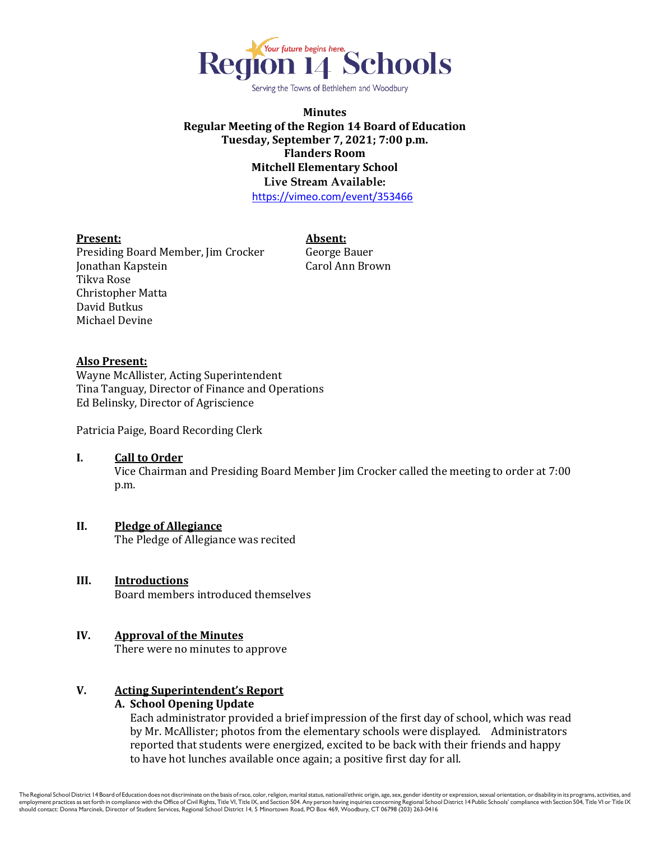

Serving the Towns of Bethlehem and Woodbury

**Minutes Regular Meeting of the Region 14 Board of Education Tuesday, September 7, 2021; 7:00 p.m. Flanders Room Mitchell Elementary School Live Stream Available:** <https://vimeo.com/event/353466>

### **Present: Absent:**

Presiding Board Member, Jim Crocker George Bauer Jonathan Kapstein Carol Ann Brown Tikva Rose Christopher Matta David Butkus Michael Devine

### **Also Present:**

Wayne McAllister, Acting Superintendent Tina Tanguay, Director of Finance and Operations Ed Belinsky, Director of Agriscience

Patricia Paige, Board Recording Clerk

#### **I. Call to Order**

Vice Chairman and Presiding Board Member Jim Crocker called the meeting to order at 7:00 p.m.

## **II. Pledge of Allegiance**

The Pledge of Allegiance was recited

## **III. Introductions**

Board members introduced themselves

# **IV. Approval of the Minutes**

There were no minutes to approve

## **V. Acting Superintendent's Report**

## **A. School Opening Update**

Each administrator provided a brief impression of the first day of school, which was read by Mr. McAllister; photos from the elementary schools were displayed. Administrators reported that students were energized, excited to be back with their friends and happy to have hot lunches available once again; a positive first day for all.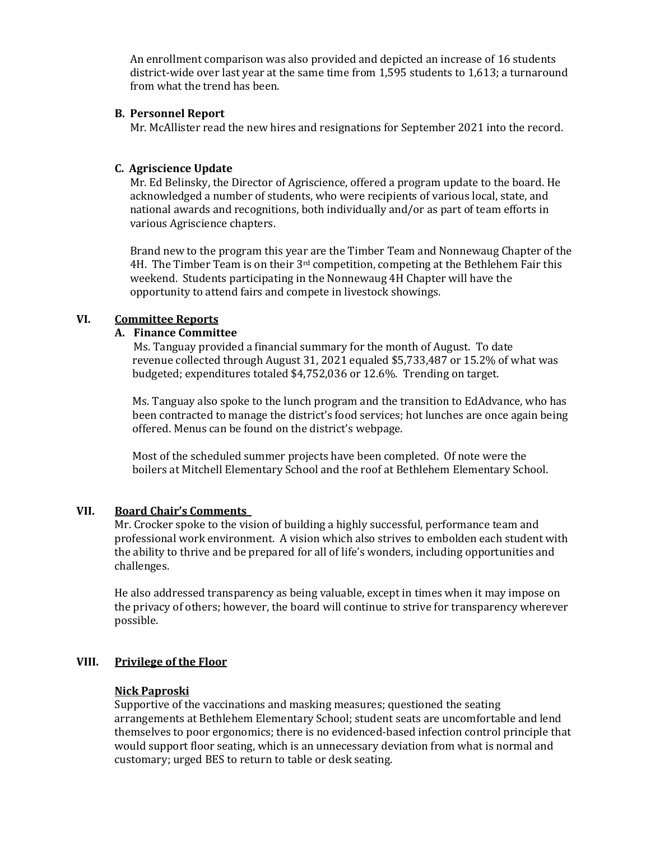An enrollment comparison was also provided and depicted an increase of 16 students district-wide over last year at the same time from 1,595 students to 1,613; a turnaround from what the trend has been.

# **B. Personnel Report**

Mr. McAllister read the new hires and resignations for September 2021 into the record.

# **C. Agriscience Update**

Mr. Ed Belinsky, the Director of Agriscience, offered a program update to the board. He acknowledged a number of students, who were recipients of various local, state, and national awards and recognitions, both individually and/or as part of team efforts in various Agriscience chapters.

Brand new to the program this year are the Timber Team and Nonnewaug Chapter of the 4H. The Timber Team is on their 3rd competition, competing at the Bethlehem Fair this weekend. Students participating in the Nonnewaug 4H Chapter will have the opportunity to attend fairs and compete in livestock showings.

# **VI. Committee Reports**

# **A. Finance Committee**

Ms. Tanguay provided a financial summary for the month of August. To date revenue collected through August 31, 2021 equaled \$5,733,487 or 15.2% of what was budgeted; expenditures totaled \$4,752,036 or 12.6%. Trending on target.

Ms. Tanguay also spoke to the lunch program and the transition to EdAdvance, who has been contracted to manage the district's food services; hot lunches are once again being offered. Menus can be found on the district's webpage.

 Most of the scheduled summer projects have been completed. Of note were the boilers at Mitchell Elementary School and the roof at Bethlehem Elementary School.

# **VII. Board Chair's Comments**

Mr. Crocker spoke to the vision of building a highly successful, performance team and professional work environment. A vision which also strives to embolden each student with the ability to thrive and be prepared for all of life's wonders, including opportunities and challenges.

He also addressed transparency as being valuable, except in times when it may impose on the privacy of others; however, the board will continue to strive for transparency wherever possible.

# **VIII. Privilege of the Floor**

# **Nick Paproski**

Supportive of the vaccinations and masking measures; questioned the seating arrangements at Bethlehem Elementary School; student seats are uncomfortable and lend themselves to poor ergonomics; there is no evidenced-based infection control principle that would support floor seating, which is an unnecessary deviation from what is normal and customary; urged BES to return to table or desk seating.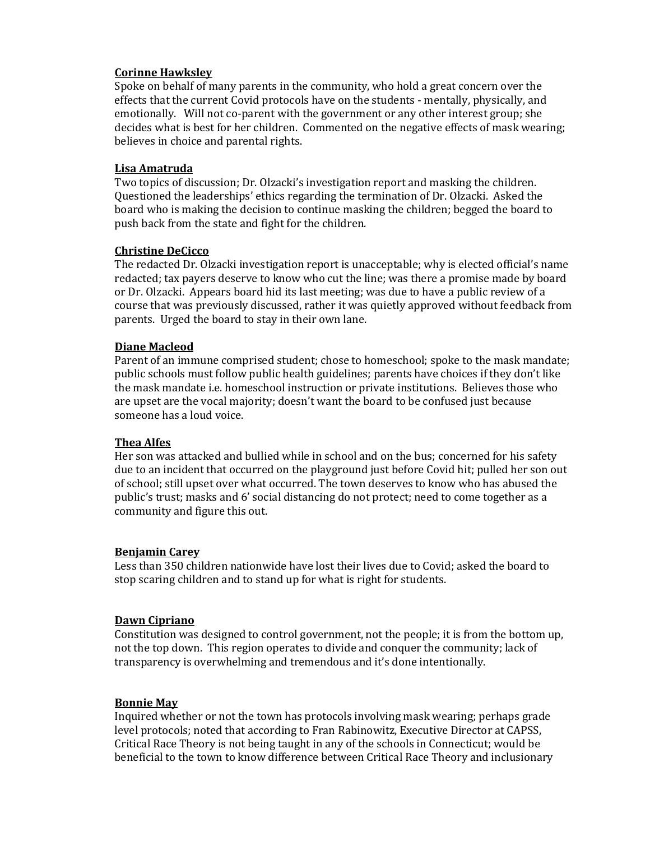# **Corinne Hawksley**

Spoke on behalf of many parents in the community, who hold a great concern over the effects that the current Covid protocols have on the students - mentally, physically, and emotionally. Will not co-parent with the government or any other interest group; she decides what is best for her children. Commented on the negative effects of mask wearing; believes in choice and parental rights.

## **Lisa Amatruda**

Two topics of discussion; Dr. Olzacki's investigation report and masking the children. Questioned the leaderships' ethics regarding the termination of Dr. Olzacki. Asked the board who is making the decision to continue masking the children; begged the board to push back from the state and fight for the children.

## **Christine DeCicco**

The redacted Dr. Olzacki investigation report is unacceptable; why is elected official's name redacted; tax payers deserve to know who cut the line; was there a promise made by board or Dr. Olzacki. Appears board hid its last meeting; was due to have a public review of a course that was previously discussed, rather it was quietly approved without feedback from parents. Urged the board to stay in their own lane.

### **Diane Macleod**

Parent of an immune comprised student; chose to homeschool; spoke to the mask mandate; public schools must follow public health guidelines; parents have choices if they don't like the mask mandate i.e. homeschool instruction or private institutions. Believes those who are upset are the vocal majority; doesn't want the board to be confused just because someone has a loud voice.

## **Thea Alfes**

Her son was attacked and bullied while in school and on the bus; concerned for his safety due to an incident that occurred on the playground just before Covid hit; pulled her son out of school; still upset over what occurred. The town deserves to know who has abused the public's trust; masks and 6' social distancing do not protect; need to come together as a community and figure this out.

#### **Benjamin Carey**

Less than 350 children nationwide have lost their lives due to Covid; asked the board to stop scaring children and to stand up for what is right for students.

# **Dawn Cipriano**

Constitution was designed to control government, not the people; it is from the bottom up, not the top down. This region operates to divide and conquer the community; lack of transparency is overwhelming and tremendous and it's done intentionally.

### **Bonnie May**

Inquired whether or not the town has protocols involving mask wearing; perhaps grade level protocols; noted that according to Fran Rabinowitz, Executive Director at CAPSS, Critical Race Theory is not being taught in any of the schools in Connecticut; would be beneficial to the town to know difference between Critical Race Theory and inclusionary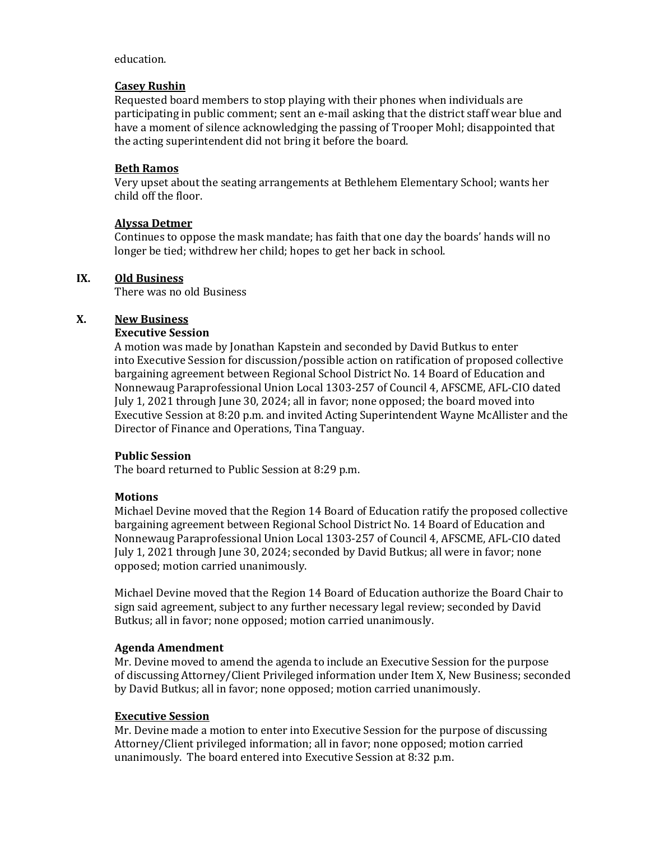## education.

## **Casey Rushin**

Requested board members to stop playing with their phones when individuals are participating in public comment; sent an e-mail asking that the district staff wear blue and have a moment of silence acknowledging the passing of Trooper Mohl; disappointed that the acting superintendent did not bring it before the board.

# **Beth Ramos**

Very upset about the seating arrangements at Bethlehem Elementary School; wants her child off the floor.

### **Alyssa Detmer**

Continues to oppose the mask mandate; has faith that one day the boards' hands will no longer be tied; withdrew her child; hopes to get her back in school.

### **IX. Old Business**

There was no old Business

## **X. New Business**

### **Executive Session**

A motion was made by Jonathan Kapstein and seconded by David Butkus to enter into Executive Session for discussion/possible action on ratification of proposed collective bargaining agreement between Regional School District No. 14 Board of Education and Nonnewaug Paraprofessional Union Local 1303-257 of Council 4, AFSCME, AFL-CIO dated July 1, 2021 through June 30, 2024; all in favor; none opposed; the board moved into Executive Session at 8:20 p.m. and invited Acting Superintendent Wayne McAllister and the Director of Finance and Operations, Tina Tanguay.

### **Public Session**

The board returned to Public Session at 8:29 p.m.

## **Motions**

Michael Devine moved that the Region 14 Board of Education ratify the proposed collective bargaining agreement between Regional School District No. 14 Board of Education and Nonnewaug Paraprofessional Union Local 1303-257 of Council 4, AFSCME, AFL-CIO dated July 1, 2021 through June 30, 2024; seconded by David Butkus; all were in favor; none opposed; motion carried unanimously.

Michael Devine moved that the Region 14 Board of Education authorize the Board Chair to sign said agreement, subject to any further necessary legal review; seconded by David Butkus; all in favor; none opposed; motion carried unanimously.

## **Agenda Amendment**

Mr. Devine moved to amend the agenda to include an Executive Session for the purpose of discussing Attorney/Client Privileged information under Item X, New Business; seconded by David Butkus; all in favor; none opposed; motion carried unanimously.

## **Executive Session**

Mr. Devine made a motion to enter into Executive Session for the purpose of discussing Attorney/Client privileged information; all in favor; none opposed; motion carried unanimously. The board entered into Executive Session at 8:32 p.m.